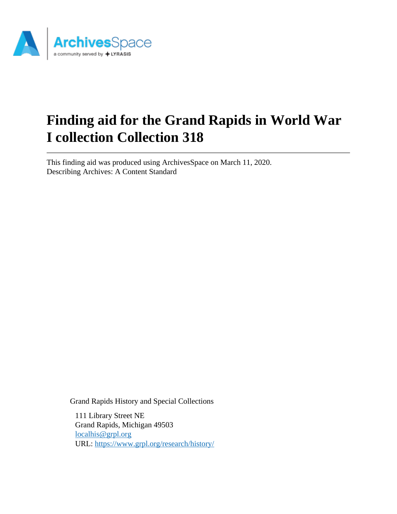

# **Finding aid for the Grand Rapids in World War I collection Collection 318**

This finding aid was produced using ArchivesSpace on March 11, 2020. Describing Archives: A Content Standard

Grand Rapids History and Special Collections

111 Library Street NE Grand Rapids, Michigan 49503 [localhis@grpl.org](mailto:localhis@grpl.org) URL:<https://www.grpl.org/research/history/>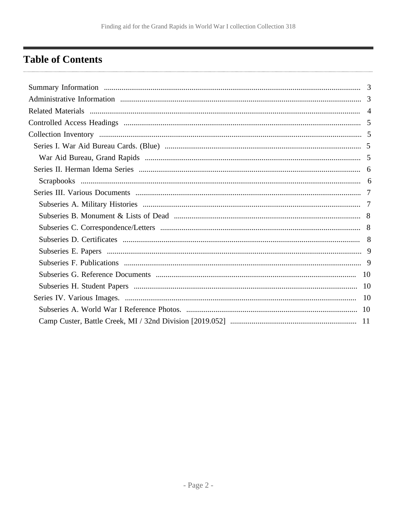## <span id="page-1-0"></span>**Table of Contents**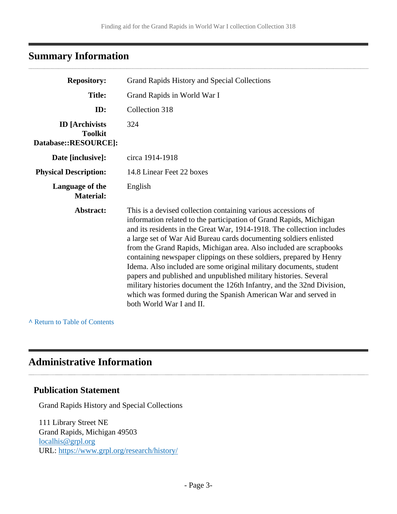### <span id="page-2-0"></span>**Summary Information**

| <b>Repository:</b>                                              | Grand Rapids History and Special Collections                                                                                                                                                                                                                                                                                                                                                                                                                                                                                                                                                                                                                                                                                                      |  |
|-----------------------------------------------------------------|---------------------------------------------------------------------------------------------------------------------------------------------------------------------------------------------------------------------------------------------------------------------------------------------------------------------------------------------------------------------------------------------------------------------------------------------------------------------------------------------------------------------------------------------------------------------------------------------------------------------------------------------------------------------------------------------------------------------------------------------------|--|
| <b>Title:</b>                                                   | Grand Rapids in World War I                                                                                                                                                                                                                                                                                                                                                                                                                                                                                                                                                                                                                                                                                                                       |  |
| ID:                                                             | Collection 318                                                                                                                                                                                                                                                                                                                                                                                                                                                                                                                                                                                                                                                                                                                                    |  |
| <b>ID</b> [Archivists<br><b>Toolkit</b><br>Database::RESOURCE]: | 324                                                                                                                                                                                                                                                                                                                                                                                                                                                                                                                                                                                                                                                                                                                                               |  |
| Date [inclusive]:                                               | circa 1914-1918                                                                                                                                                                                                                                                                                                                                                                                                                                                                                                                                                                                                                                                                                                                                   |  |
| <b>Physical Description:</b>                                    | 14.8 Linear Feet 22 boxes                                                                                                                                                                                                                                                                                                                                                                                                                                                                                                                                                                                                                                                                                                                         |  |
| Language of the<br><b>Material:</b>                             | English                                                                                                                                                                                                                                                                                                                                                                                                                                                                                                                                                                                                                                                                                                                                           |  |
| Abstract:                                                       | This is a devised collection containing various accessions of<br>information related to the participation of Grand Rapids, Michigan<br>and its residents in the Great War, 1914-1918. The collection includes<br>a large set of War Aid Bureau cards documenting soldiers enlisted<br>from the Grand Rapids, Michigan area. Also included are scrapbooks<br>containing newspaper clippings on these soldiers, prepared by Henry<br>Idema. Also included are some original military documents, student<br>papers and published and unpublished military histories. Several<br>military histories document the 126th Infantry, and the 32nd Division,<br>which was formed during the Spanish American War and served in<br>both World War I and II. |  |

#### **^** [Return to Table of Contents](#page-1-0)

### <span id="page-2-1"></span>**Administrative Information**

### **Publication Statement**

Grand Rapids History and Special Collections

111 Library Street NE Grand Rapids, Michigan 49503 [localhis@grpl.org](mailto:localhis@grpl.org) URL:<https://www.grpl.org/research/history/>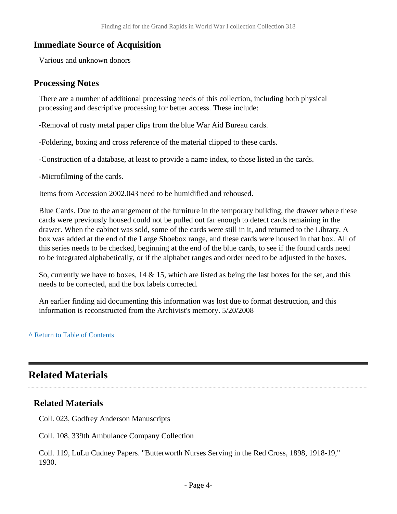#### **Immediate Source of Acquisition**

Various and unknown donors

#### **Processing Notes**

There are a number of additional processing needs of this collection, including both physical processing and descriptive processing for better access. These include:

-Removal of rusty metal paper clips from the blue War Aid Bureau cards.

-Foldering, boxing and cross reference of the material clipped to these cards.

-Construction of a database, at least to provide a name index, to those listed in the cards.

-Microfilming of the cards.

Items from Accession 2002.043 need to be humidified and rehoused.

Blue Cards. Due to the arrangement of the furniture in the temporary building, the drawer where these cards were previously housed could not be pulled out far enough to detect cards remaining in the drawer. When the cabinet was sold, some of the cards were still in it, and returned to the Library. A box was added at the end of the Large Shoebox range, and these cards were housed in that box. All of this series needs to be checked, beginning at the end of the blue cards, to see if the found cards need to be integrated alphabetically, or if the alphabet ranges and order need to be adjusted in the boxes.

So, currently we have to boxes,  $14 \& 15$ , which are listed as being the last boxes for the set, and this needs to be corrected, and the box labels corrected.

An earlier finding aid documenting this information was lost due to format destruction, and this information is reconstructed from the Archivist's memory. 5/20/2008

**^** [Return to Table of Contents](#page-1-0)

### <span id="page-3-0"></span>**Related Materials**

#### **Related Materials**

Coll. 023, Godfrey Anderson Manuscripts

Coll. 108, 339th Ambulance Company Collection

Coll. 119, LuLu Cudney Papers. "Butterworth Nurses Serving in the Red Cross, 1898, 1918-19," 1930.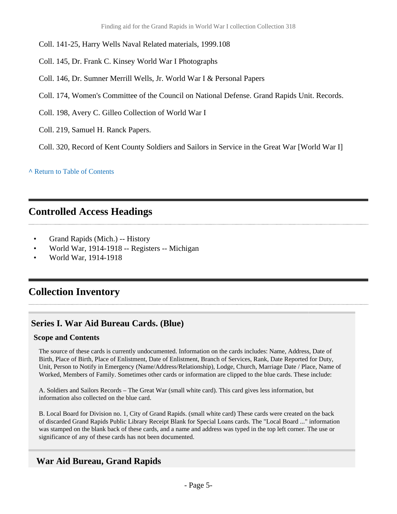Coll. 141-25, Harry Wells Naval Related materials, 1999.108

- Coll. 145, Dr. Frank C. Kinsey World War I Photographs
- Coll. 146, Dr. Sumner Merrill Wells, Jr. World War I & Personal Papers
- Coll. 174, Women's Committee of the Council on National Defense. Grand Rapids Unit. Records.
- Coll. 198, Avery C. Gilleo Collection of World War I
- Coll. 219, Samuel H. Ranck Papers.

Coll. 320, Record of Kent County Soldiers and Sailors in Service in the Great War [World War I]

**^** [Return to Table of Contents](#page-1-0)

### <span id="page-4-0"></span>**Controlled Access Headings**

- Grand Rapids (Mich.) -- History
- World War, 1914-1918 -- Registers -- Michigan
- World War, 1914-1918

### <span id="page-4-1"></span>**Collection Inventory**

### <span id="page-4-2"></span>**Series I. War Aid Bureau Cards. (Blue)**

#### **Scope and Contents**

The source of these cards is currently undocumented. Information on the cards includes: Name, Address, Date of Birth, Place of Birth, Place of Enlistment, Date of Enlistment, Branch of Services, Rank, Date Reported for Duty, Unit, Person to Notify in Emergency (Name/Address/Relationship), Lodge, Church, Marriage Date / Place, Name of Worked, Members of Family. Sometimes other cards or information are clipped to the blue cards. These include:

A. Soldiers and Sailors Records – The Great War (small white card). This card gives less information, but information also collected on the blue card.

B. Local Board for Division no. 1, City of Grand Rapids. (small white card) These cards were created on the back of discarded Grand Rapids Public Library Receipt Blank for Special Loans cards. The "Local Board ..." information was stamped on the blank back of these cards, and a name and address was typed in the top left corner. The use or significance of any of these cards has not been documented.

### <span id="page-4-3"></span>**War Aid Bureau, Grand Rapids**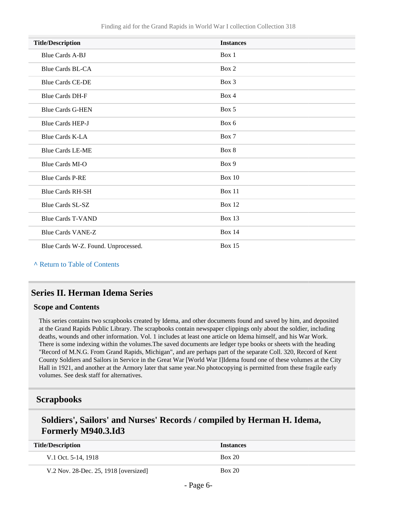| <b>Title/Description</b>            | <b>Instances</b> |
|-------------------------------------|------------------|
| <b>Blue Cards A-BJ</b>              | Box 1            |
| <b>Blue Cards BL-CA</b>             | Box 2            |
| <b>Blue Cards CE-DE</b>             | Box 3            |
| <b>Blue Cards DH-F</b>              | Box 4            |
| <b>Blue Cards G-HEN</b>             | Box 5            |
| <b>Blue Cards HEP-J</b>             | Box 6            |
| <b>Blue Cards K-LA</b>              | Box 7            |
| <b>Blue Cards LE-ME</b>             | Box 8            |
| <b>Blue Cards MI-O</b>              | Box 9            |
| <b>Blue Cards P-RE</b>              | <b>Box 10</b>    |
| <b>Blue Cards RH-SH</b>             | <b>Box 11</b>    |
| <b>Blue Cards SL-SZ</b>             | <b>Box 12</b>    |
| <b>Blue Cards T-VAND</b>            | Box 13           |
| <b>Blue Cards VANE-Z</b>            | <b>Box 14</b>    |
| Blue Cards W-Z. Found. Unprocessed. | <b>Box 15</b>    |

**^** [Return to Table of Contents](#page-1-0)

### <span id="page-5-0"></span>**Series II. Herman Idema Series**

#### **Scope and Contents**

This series contains two scrapbooks created by Idema, and other documents found and saved by him, and deposited at the Grand Rapids Public Library. The scrapbooks contain newspaper clippings only about the soldier, including deaths, wounds and other information. Vol. 1 includes at least one article on Idema himself, and his War Work. There is some indexing within the volumes.The saved documents are ledger type books or sheets with the heading "Record of M.N.G. From Grand Rapids, Michigan", and are perhaps part of the separate Coll. 320, Record of Kent County Soldiers and Sailors in Service in the Great War [World War I]Idema found one of these volumes at the City Hall in 1921, and another at the Armory later that same year.No photocopying is permitted from these fragile early volumes. See desk staff for alternatives.

### <span id="page-5-1"></span>**Scrapbooks**

### **Soldiers', Sailors' and Nurses' Records / compiled by Herman H. Idema, Formerly M940.3.Id3**

| <b>Title/Description</b>              | <b>Instances</b> |
|---------------------------------------|------------------|
| V.1 Oct. $5-14$ , $1918$              | Box 20           |
| V.2 Nov. 28-Dec. 25, 1918 [oversized] | Box 20           |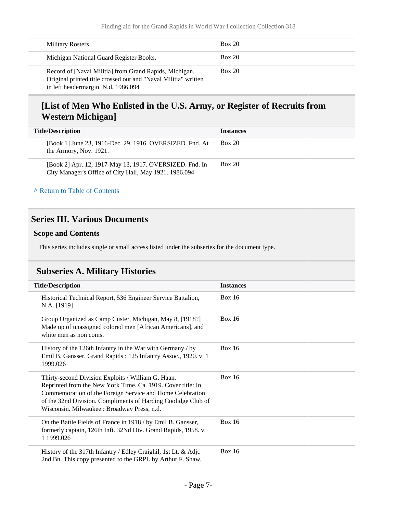| <b>Military Rosters</b>                                                                                                                                         | Box 20 |
|-----------------------------------------------------------------------------------------------------------------------------------------------------------------|--------|
| Michigan National Guard Register Books.                                                                                                                         | Box 20 |
| Record of [Naval Militia] from Grand Rapids, Michigan.<br>Original printed title crossed out and "Naval Militia" written<br>in left headermargin. N.d. 1986.094 | Box 20 |

### **[List of Men Who Enlisted in the U.S. Army, or Register of Recruits from Western Michigan]**

| <b>Title/Description</b>                                                                                          | <b>Instances</b> |
|-------------------------------------------------------------------------------------------------------------------|------------------|
| [Book 1] June 23, 1916-Dec. 29, 1916. OVERSIZED. Fnd. At<br>the Armory, Nov. 1921.                                | <b>Box 20</b>    |
| [Book 2] Apr. 12, 1917-May 13, 1917. OVERSIZED. Fnd. In<br>City Manager's Office of City Hall, May 1921. 1986.094 | <b>Box 20</b>    |

#### **^** [Return to Table of Contents](#page-1-0)

#### <span id="page-6-0"></span>**Series III. Various Documents**

#### **Scope and Contents**

This series includes single or small access listed under the subseries for the document type.

### <span id="page-6-1"></span>**Subseries A. Military Histories**

| <b>Title/Description</b> |                                                                                                                                                                                                                                                                                               | <b>Instances</b> |
|--------------------------|-----------------------------------------------------------------------------------------------------------------------------------------------------------------------------------------------------------------------------------------------------------------------------------------------|------------------|
|                          | Historical Technical Report, 536 Engineer Service Battalion,<br>N.A. [1919]                                                                                                                                                                                                                   | Box $16$         |
|                          | Group Organized as Camp Custer, Michigan, May 8, [1918?]<br>Made up of unassigned colored men [African Americans], and<br>white men as non coms.                                                                                                                                              | Box $16$         |
|                          | History of the 126th Infantry in the War with Germany / by<br>Emil B. Gansser. Grand Rapids: 125 Infantry Assoc., 1920. v. 1<br>1999.026                                                                                                                                                      | Box $16$         |
|                          | Thirty-second Division Exploits / William G. Haan.<br>Reprinted from the New York Time. Ca. 1919. Cover title: In<br>Commemoration of the Foreign Service and Home Celebration<br>of the 32nd Division. Compliments of Harding Coolidge Club of<br>Wisconsin. Milwaukee: Broadway Press, n.d. | Box $16$         |
|                          | On the Battle Fields of France in 1918 / by Emil B. Gansser,<br>formerly captain, 126th Inft. 32Nd Div. Grand Rapids, 1958. v.<br>1 1999.026                                                                                                                                                  | Box $16$         |
|                          | History of the 317th Infantry / Edley Craighil, 1st Lt. & Adjt.<br>2nd Bn. This copy presented to the GRPL by Arthur F. Shaw,                                                                                                                                                                 | <b>Box 16</b>    |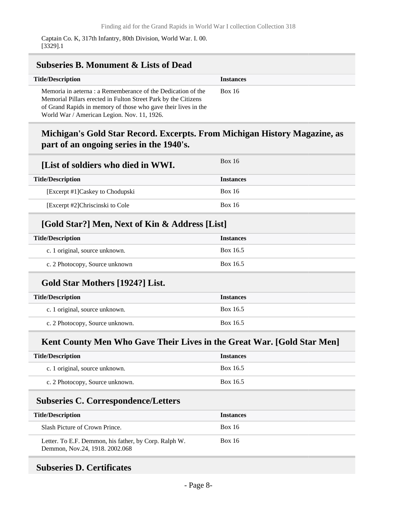#### <span id="page-7-0"></span>**Subseries B. Monument & Lists of Dead Title/Description Instances** Memoria in aeterna : a Rememberance of the Dedication of the Memorial Pillars erected in Fulton Street Park by the Citizens of Grand Rapids in memory of those who gave their lives in the World War / American Legion. Nov. 11, 1926. Box 16

### **Michigan's Gold Star Record. Excerpts. From Michigan History Magazine, as part of an ongoing series in the 1940's.**

| [List of soldiers who died in WWI.] | <b>Box 16</b>    |
|-------------------------------------|------------------|
| <b>Title/Description</b>            | <b>Instances</b> |
| [Excerpt #1] Caskey to Chodupski    | <b>Box 16</b>    |
| [Excerpt #2]Chriscinski to Cole     | <b>Box 16</b>    |

### **[Gold Star?] Men, Next of Kin & Address [List]**

| <b>Title/Description</b>       | <b>Instances</b> |  |
|--------------------------------|------------------|--|
| c. 1 original, source unknown. | Box 16.5         |  |
| c. 2 Photocopy, Source unknown | Box 16.5         |  |

### **Gold Star Mothers [1924?] List.**

| <b>Title/Description</b>        | <b>Instances</b> |
|---------------------------------|------------------|
| c. 1 original, source unknown.  | Box 16.5         |
| c. 2 Photocopy, Source unknown. | Box 16.5         |

### **Kent County Men Who Gave Their Lives in the Great War. [Gold Star Men]**

| <b>Title/Description</b>        | <b>Instances</b> |
|---------------------------------|------------------|
| c. 1 original, source unknown.  | Box 16.5         |
| c. 2 Photocopy, Source unknown. | Box 16.5         |

### <span id="page-7-1"></span>**Subseries C. Correspondence/Letters**

| <b>Title/Description</b>                                                                | <b>Instances</b> |
|-----------------------------------------------------------------------------------------|------------------|
| Slash Picture of Crown Prince.                                                          | <b>Box 16</b>    |
| Letter. To E.F. Demmon, his father, by Corp. Ralph W.<br>Demmon, Nov.24, 1918. 2002.068 | <b>Box 16</b>    |

#### <span id="page-7-2"></span>**Subseries D. Certificates**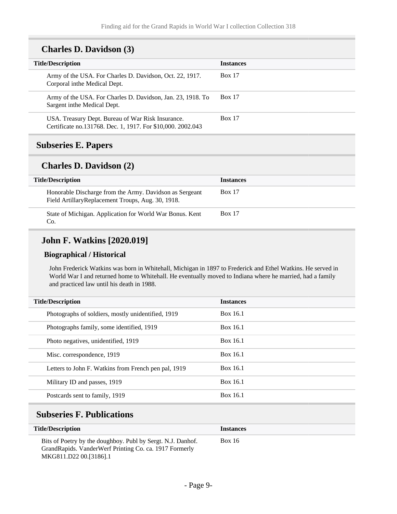### **Charles D. Davidson (3)**

| <b>Title/Description</b>                                                                                         | <b>Instances</b> |
|------------------------------------------------------------------------------------------------------------------|------------------|
| Army of the USA. For Charles D. Davidson, Oct. 22, 1917.<br>Corporal in the Medical Dept.                        | <b>Box 17</b>    |
| Army of the USA. For Charles D. Davidson, Jan. 23, 1918. To<br>Sargent in the Medical Dept.                      | <b>Box 17</b>    |
| USA. Treasury Dept. Bureau of War Risk Insurance.<br>Certificate no.131768. Dec. 1, 1917. For \$10,000. 2002.043 | <b>Box 17</b>    |
|                                                                                                                  |                  |

### <span id="page-8-0"></span>**Subseries E. Papers**

#### **Charles D. Davidson (2)**

| <b>Title/Description</b>                                                                                     | <b>Instances</b> |
|--------------------------------------------------------------------------------------------------------------|------------------|
| Honorable Discharge from the Army. Davidson as Sergeant<br>Field ArtillaryReplacement Troups, Aug. 30, 1918. | <b>Box 17</b>    |
| State of Michigan. Application for World War Bonus. Kent<br>Co.                                              | <b>Box 17</b>    |

### **John F. Watkins [2020.019]**

#### **Biographical / Historical**

John Frederick Watkins was born in Whitehall, Michigan in 1897 to Frederick and Ethel Watkins. He served in World War I and returned home to Whitehall. He eventually moved to Indiana where he married, had a family and practiced law until his death in 1988.

| <b>Title/Description</b>                             | <b>Instances</b> |  |
|------------------------------------------------------|------------------|--|
| Photographs of soldiers, mostly unidentified, 1919   | Box 16.1         |  |
| Photographs family, some identified, 1919            | Box 16.1         |  |
| Photo negatives, unidentified, 1919                  | Box 16.1         |  |
| Misc. correspondence, 1919                           | Box 16.1         |  |
| Letters to John F. Watkins from French pen pal, 1919 | Box 16.1         |  |
| Military ID and passes, 1919                         | Box 16.1         |  |
| Postcards sent to family, 1919                       | Box 16.1         |  |

### <span id="page-8-1"></span>**Subseries F. Publications**

| <b>Title/Description</b>                                                                                                                        | <b>Instances</b> |
|-------------------------------------------------------------------------------------------------------------------------------------------------|------------------|
| Bits of Poetry by the doughboy. Publ by Sergt. N.J. Danhof.<br>GrandRapids. VanderWerf Printing Co. ca. 1917 Formerly<br>MKG811.D22 00.[3186].1 | Box 16           |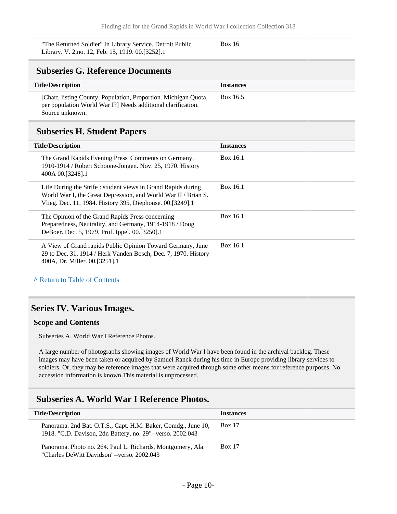| "The Returned Soldier" In Library Service. Detroit Public | <b>Box 16</b> |
|-----------------------------------------------------------|---------------|
| Library. V. 2, no. 12, Feb. 15, 1919. 00. [3252]. 1       |               |

#### <span id="page-9-0"></span>**Subseries G. Reference Documents**

| <b>Title/Description</b>                                                                                                                          | <b>Instances</b> |
|---------------------------------------------------------------------------------------------------------------------------------------------------|------------------|
| [Chart, listing County, Population, Proportion. Michigan Quota,<br>per population World War I? Needs additional clarification.<br>Source unknown. | Box 16.5         |

#### <span id="page-9-1"></span>**Subseries H. Student Papers**

| <b>Title/Description</b>                                                                                                                                                                    | <b>Instances</b> |
|---------------------------------------------------------------------------------------------------------------------------------------------------------------------------------------------|------------------|
| The Grand Rapids Evening Press' Comments on Germany,<br>1910-1914 / Robert Schoone-Jongen. Nov. 25, 1970. History<br>400A 00.[3248].1                                                       | Box 16.1         |
| Life During the Strife: student views in Grand Rapids during<br>World War I, the Great Depression, and World War II / Brian S.<br>Vlieg. Dec. 11, 1984. History 395, Diephouse. 00.[3249].1 | Box 16.1         |
| The Opinion of the Grand Rapids Press concerning<br>Preparedness, Neutrality, and Germany, 1914-1918 / Doug<br>DeBoer. Dec. 5, 1979. Prof. Ippel. 00.[3250].1                               | Box 16.1         |
| A View of Grand rapids Public Opinion Toward Germany, June<br>29 to Dec. 31, 1914 / Herk Vanden Bosch, Dec. 7, 1970. History<br>400A, Dr. Miller. 00.[3251].1                               | Box 16.1         |
| A Return to Table of Contents                                                                                                                                                               |                  |

#### <span id="page-9-2"></span>**Series IV. Various Images.**

#### **Scope and Contents**

Subseries A. World War I Reference Photos.

A large number of photographs showing images of World War I have been found in the archival backlog. These images may have been taken or acquired by Samuel Ranck during his time in Europe providing library services to soldiers. Or, they may be reference images that were acquired through some other means for reference purposes. No accession information is known.This material is unprocessed.

### <span id="page-9-3"></span>**Subseries A. World War I Reference Photos.**

| <b>Title/Description</b>                                                                                                    | <b>Instances</b> |
|-----------------------------------------------------------------------------------------------------------------------------|------------------|
| Panorama. 2nd Bat. O.T.S., Capt. H.M. Baker, Comdg., June 10,<br>1918. "C.D. Davison, 2dn Battery, no. 29"--verso. 2002.043 | <b>Box 17</b>    |
| Panorama. Photo no. 264. Paul L. Richards, Montgomery, Ala.<br>"Charles DeWitt Davidson"--verso. 2002.043                   | <b>Box 17</b>    |